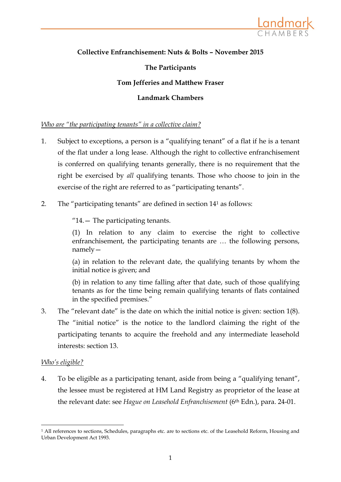

# **Collective Enfranchisement: Nuts & Bolts – November 2015**

### **The Participants**

### **Tom Jefferies and Matthew Fraser**

#### **Landmark Chambers**

#### *Who are "the participating tenants" in a collective claim?*

- 1. Subject to exceptions, a person is a "qualifying tenant" of a flat if he is a tenant of the flat under a long lease. Although the right to collective enfranchisement is conferred on qualifying tenants generally, there is no requirement that the right be exercised by *all* qualifying tenants. Those who choose to join in the exercise of the right are referred to as "participating tenants".
- 2. The "participating tenants" are defined in section 14<sup>1</sup> as follows:

"14.— The participating tenants.

(1) In relation to any claim to exercise the right to collective enfranchisement, the participating tenants are … the following persons, namely—

(a) in relation to the relevant date, the qualifying tenants by whom the initial notice is given; and

(b) in relation to any time falling after that date, such of those qualifying tenants as for the time being remain qualifying tenants of flats contained in the specified premises."

3. The "relevant date" is the date on which the initial notice is given: section 1(8). The "initial notice" is the notice to the landlord claiming the right of the participating tenants to acquire the freehold and any intermediate leasehold interests: section 13.

#### *Who's eligible?*

**.** 

4. To be eligible as a participating tenant, aside from being a "qualifying tenant", the lessee must be registered at HM Land Registry as proprietor of the lease at the relevant date: see *Hague on Leasehold Enfranchisement* (6th Edn.), para. 24-01.

<sup>1</sup> All references to sections, Schedules, paragraphs etc. are to sections etc. of the Leasehold Reform, Housing and Urban Development Act 1993.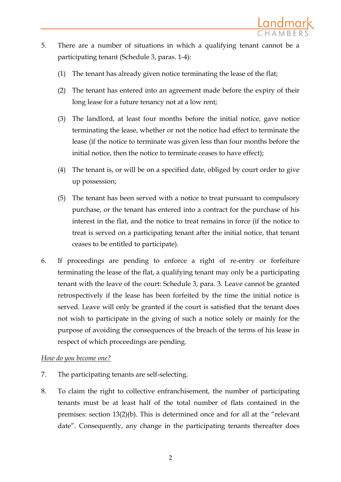- 5. There are a number of situations in which a qualifying tenant cannot be a participating tenant (Schedule 3, paras. 1-4):
	- (1) The tenant has already given notice terminating the lease of the flat;
	- (2) The tenant has entered into an agreement made before the expiry of their long lease for a future tenancy not at a low rent;
	- (3) The landlord, at least four months before the initial notice, gave notice terminating the lease, whether or not the notice had effect to terminate the lease (if the notice to terminate was given less than four months before the initial notice, then the notice to terminate ceases to have effect);
	- (4) The tenant is, or will be on a specified date, obliged by court order to give up possession;
	- (5) The tenant has been served with a notice to treat pursuant to compulsory purchase, or the tenant has entered into a contract for the purchase of his interest in the flat, and the notice to treat remains in force (if the notice to treat is served on a participating tenant after the initial notice, that tenant ceases to be entitled to participate).
- 6. If proceedings are pending to enforce a right of re-entry or forfeiture terminating the lease of the flat, a qualifying tenant may only be a participating tenant with the leave of the court: Schedule 3, para. 3. Leave cannot be granted retrospectively if the lease has been forfeited by the time the initial notice is served. Leave will only be granted if the court is satisfied that the tenant does not wish to participate in the giving of such a notice solely or mainly for the purpose of avoiding the consequences of the breach of the terms of his lease in respect of which proceedings are pending.

# *How do you become one?*

- 7. The participating tenants are self-selecting.
- 8. To claim the right to collective enfranchisement, the number of participating tenants must be at least half of the total number of flats contained in the premises: section 13(2)(b). This is determined once and for all at the "relevant date". Consequently, any change in the participating tenants thereafter does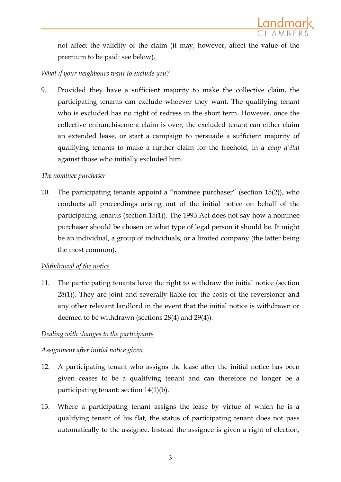

not affect the validity of the claim (it may, however, affect the value of the premium to be paid: see below).

## *What if your neighbours want to exclude you?*

9. Provided they have a sufficient majority to make the collective claim, the participating tenants can exclude whoever they want. The qualifying tenant who is excluded has no right of redress in the short term. However, once the collective enfranchisement claim is over, the excluded tenant can either claim an extended lease, or start a campaign to persuade a sufficient majority of qualifying tenants to make a further claim for the freehold, in a *coup d'état* against those who initially excluded him.

### *The nominee purchaser*

10. The participating tenants appoint a "nominee purchaser" (section 15(2)), who conducts all proceedings arising out of the initial notice on behalf of the participating tenants (section 15(1)). The 1993 Act does not say how a nominee purchaser should be chosen or what type of legal person it should be. It might be an individual, a group of individuals, or a limited company (the latter being the most common).

### *Withdrawal of the notice*

11. The participating tenants have the right to withdraw the initial notice (section 28(1)). They are joint and severally liable for the costs of the reversioner and any other relevant landlord in the event that the initial notice is withdrawn or deemed to be withdrawn (sections 28(4) and 29(4)).

### *Dealing with changes to the participants*

### *Assignment after initial notice given*

- 12. A participating tenant who assigns the lease after the initial notice has been given ceases to be a qualifying tenant and can therefore no longer be a participating tenant: section 14(1)(b).
- 13. Where a participating tenant assigns the lease by virtue of which he is a qualifying tenant of his flat, the status of participating tenant does not pass automatically to the assignee. Instead the assignee is given a right of election,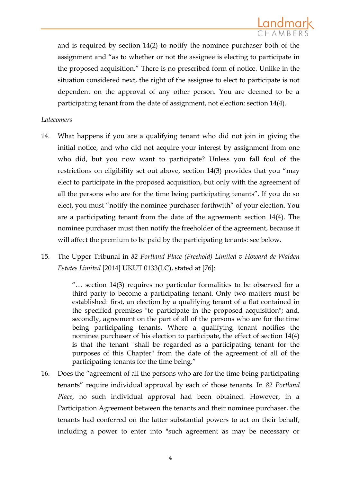and is required by section 14(2) to notify the nominee purchaser both of the assignment and "as to whether or not the assignee is electing to participate in the proposed acquisition." There is no prescribed form of notice. Unlike in the situation considered next, the right of the assignee to elect to participate is not dependent on the approval of any other person. You are deemed to be a participating tenant from the date of assignment, not election: section 14(4).

### *Latecomers*

- 14. What happens if you are a qualifying tenant who did not join in giving the initial notice, and who did not acquire your interest by assignment from one who did, but you now want to participate? Unless you fall foul of the restrictions on eligibility set out above, section 14(3) provides that you "may elect to participate in the proposed acquisition, but only with the agreement of all the persons who are for the time being participating tenants". If you do so elect, you must "notify the nominee purchaser forthwith" of your election. You are a participating tenant from the date of the agreement: section 14(4). The nominee purchaser must then notify the freeholder of the agreement, because it will affect the premium to be paid by the participating tenants: see below.
- 15. The Upper Tribunal in *82 Portland Place (Freehold) Limited v Howard de Walden Estates Limited* [2014] UKUT 0133(LC), stated at [76]:

"… section 14(3) requires no particular formalities to be observed for a third party to become a participating tenant. Only two matters must be established: first, an election by a qualifying tenant of a flat contained in the specified premises "to participate in the proposed acquisition"; and, secondly, agreement on the part of all of the persons who are for the time being participating tenants. Where a qualifying tenant notifies the nominee purchaser of his election to participate, the effect of section 14(4) is that the tenant "shall be regarded as a participating tenant for the purposes of this Chapter" from the date of the agreement of all of the participating tenants for the time being."

16. Does the "agreement of all the persons who are for the time being participating tenants" require individual approval by each of those tenants. In *82 Portland Place*, no such individual approval had been obtained. However, in a Participation Agreement between the tenants and their nominee purchaser, the tenants had conferred on the latter substantial powers to act on their behalf, including a power to enter into "such agreement as may be necessary or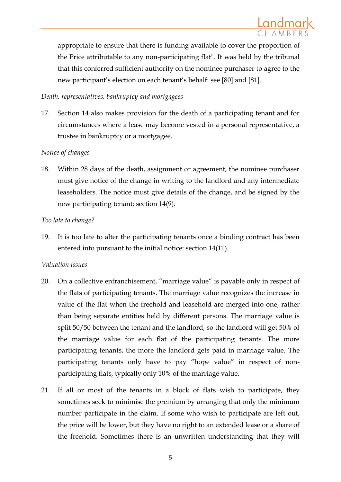

appropriate to ensure that there is funding available to cover the proportion of the Price attributable to any non-participating flat". It was held by the tribunal that this conferred sufficient authority on the nominee purchaser to agree to the new participant's election on each tenant's behalf: see [80] and [81].

### *Death, representatives, bankruptcy and mortgagees*

17. Section 14 also makes provision for the death of a participating tenant and for circumstances where a lease may become vested in a personal representative, a trustee in bankruptcy or a mortgagee.

### *Notice of changes*

18. Within 28 days of the death, assignment or agreement, the nominee purchaser must give notice of the change in writing to the landlord and any intermediate leaseholders. The notice must give details of the change, and be signed by the new participating tenant: section 14(9).

### *Too late to change?*

19. It is too late to alter the participating tenants once a binding contract has been entered into pursuant to the initial notice: section 14(11).

### *Valuation issues*

- 20. On a collective enfranchisement, "marriage value" is payable only in respect of the flats of participating tenants. The marriage value recognizes the increase in value of the flat when the freehold and leasehold are merged into one, rather than being separate entities held by different persons. The marriage value is split 50/50 between the tenant and the landlord, so the landlord will get 50% of the marriage value for each flat of the participating tenants. The more participating tenants, the more the landlord gets paid in marriage value. The participating tenants only have to pay "hope value" in respect of nonparticipating flats, typically only 10% of the marriage value.
- 21. If all or most of the tenants in a block of flats wish to participate, they sometimes seek to minimise the premium by arranging that only the minimum number participate in the claim. If some who wish to participate are left out, the price will be lower, but they have no right to an extended lease or a share of the freehold. Sometimes there is an unwritten understanding that they will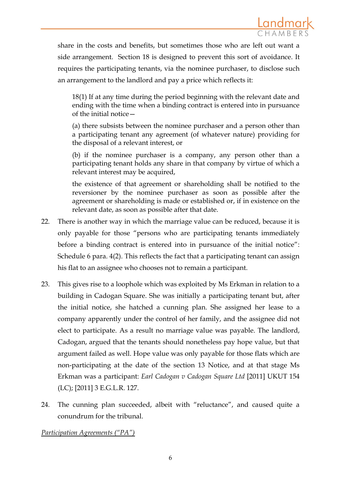

share in the costs and benefits, but sometimes those who are left out want a side arrangement. Section 18 is designed to prevent this sort of avoidance. It requires the participating tenants, via the nominee purchaser, to disclose such an arrangement to the landlord and pay a price which reflects it:

18(1) If at any time during the period beginning with the relevant date and ending with the time when a binding contract is entered into in pursuance of the initial notice—

(a) there subsists between the nominee purchaser and a person other than a participating tenant any agreement (of whatever nature) providing for the disposal of a relevant interest, or

(b) if the nominee purchaser is a company, any person other than a participating tenant holds any share in that company by virtue of which a relevant interest may be acquired,

the existence of that agreement or shareholding shall be notified to the reversioner by the nominee purchaser as soon as possible after the agreement or shareholding is made or established or, if in existence on the relevant date, as soon as possible after that date.

- 22. There is another way in which the marriage value can be reduced, because it is only payable for those "persons who are participating tenants immediately before a binding contract is entered into in pursuance of the initial notice": Schedule 6 para. 4(2). This reflects the fact that a participating tenant can assign his flat to an assignee who chooses not to remain a participant.
- 23. This gives rise to a loophole which was exploited by Ms Erkman in relation to a building in Cadogan Square. She was initially a participating tenant but, after the initial notice, she hatched a cunning plan. She assigned her lease to a company apparently under the control of her family, and the assignee did not elect to participate. As a result no marriage value was payable. The landlord, Cadogan, argued that the tenants should nonetheless pay hope value, but that argument failed as well. Hope value was only payable for those flats which are non-participating at the date of the section 13 Notice, and at that stage Ms Erkman was a participant: *Earl Cadogan v Cadogan Square Ltd* [2011] UKUT 154 (LC); [2011] 3 E.G.L.R. 127.
- 24. The cunning plan succeeded, albeit with "reluctance", and caused quite a conundrum for the tribunal.

*Participation Agreements ("PA")*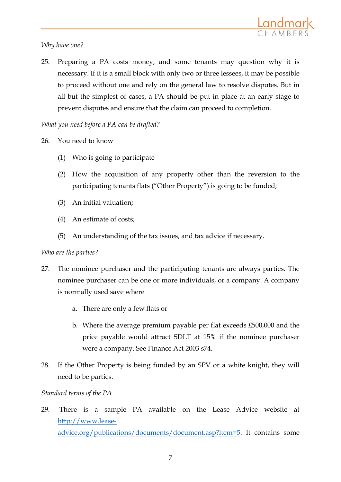## *Why have one?*

25. Preparing a PA costs money, and some tenants may question why it is necessary. If it is a small block with only two or three lessees, it may be possible to proceed without one and rely on the general law to resolve disputes. But in all but the simplest of cases, a PA should be put in place at an early stage to prevent disputes and ensure that the claim can proceed to completion.

# *What you need before a PA can be drafted?*

- 26. You need to know
	- (1) Who is going to participate
	- (2) How the acquisition of any property other than the reversion to the participating tenants flats ("Other Property") is going to be funded;
	- (3) An initial valuation;
	- (4) An estimate of costs;
	- (5) An understanding of the tax issues, and tax advice if necessary.

# *Who are the parties?*

- 27. The nominee purchaser and the participating tenants are always parties. The nominee purchaser can be one or more individuals, or a company. A company is normally used save where
	- a. There are only a few flats or
	- b. Where the average premium payable per flat exceeds £500,000 and the price payable would attract SDLT at 15% if the nominee purchaser were a company. See Finance Act 2003 s74.
- 28. If the Other Property is being funded by an SPV or a white knight, they will need to be parties.

# *Standard terms of the PA*

29. There is a sample PA available on the Lease Advice website at [http://www.lease](http://www.lease-advice.org/publications/documents/document.asp?item=5)[advice.org/publications/documents/document.asp?item=5.](http://www.lease-advice.org/publications/documents/document.asp?item=5) It contains some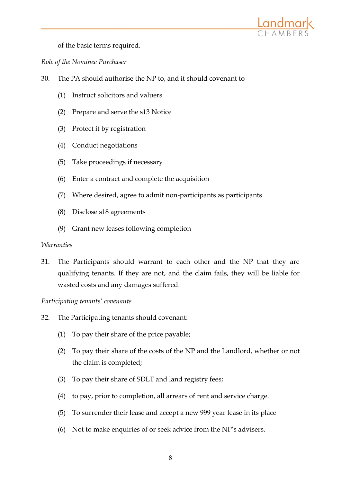

of the basic terms required.

*Role of the Nominee Purchaser*

- 30. The PA should authorise the NP to, and it should covenant to
	- (1) Instruct solicitors and valuers
	- (2) Prepare and serve the s13 Notice
	- (3) Protect it by registration
	- (4) Conduct negotiations
	- (5) Take proceedings if necessary
	- (6) Enter a contract and complete the acquisition
	- (7) Where desired, agree to admit non-participants as participants
	- (8) Disclose s18 agreements
	- (9) Grant new leases following completion

### *Warranties*

31. The Participants should warrant to each other and the NP that they are qualifying tenants. If they are not, and the claim fails, they will be liable for wasted costs and any damages suffered.

*Participating tenants' covenants*

- 32. The Participating tenants should covenant:
	- (1) To pay their share of the price payable;
	- (2) To pay their share of the costs of the NP and the Landlord, whether or not the claim is completed;
	- (3) To pay their share of SDLT and land registry fees;
	- (4) to pay, prior to completion, all arrears of rent and service charge.
	- (5) To surrender their lease and accept a new 999 year lease in its place
	- (6) Not to make enquiries of or seek advice from the NP's advisers.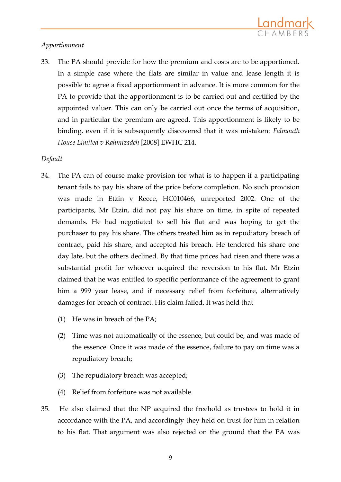

## *Apportionment*

33. The PA should provide for how the premium and costs are to be apportioned. In a simple case where the flats are similar in value and lease length it is possible to agree a fixed apportionment in advance. It is more common for the PA to provide that the apportionment is to be carried out and certified by the appointed valuer. This can only be carried out once the terms of acquisition, and in particular the premium are agreed. This apportionment is likely to be binding, even if it is subsequently discovered that it was mistaken: *Falmouth House Limited v Rahmizadeh* [2008] EWHC 214.

### *Default*

- 34. The PA can of course make provision for what is to happen if a participating tenant fails to pay his share of the price before completion. No such provision was made in Etzin v Reece, HC010466, unreported 2002. One of the participants, Mr Etzin, did not pay his share on time, in spite of repeated demands. He had negotiated to sell his flat and was hoping to get the purchaser to pay his share. The others treated him as in repudiatory breach of contract, paid his share, and accepted his breach. He tendered his share one day late, but the others declined. By that time prices had risen and there was a substantial profit for whoever acquired the reversion to his flat. Mr Etzin claimed that he was entitled to specific performance of the agreement to grant him a 999 year lease, and if necessary relief from forfeiture, alternatively damages for breach of contract. His claim failed. It was held that
	- (1) He was in breach of the PA;
	- (2) Time was not automatically of the essence, but could be, and was made of the essence. Once it was made of the essence, failure to pay on time was a repudiatory breach;
	- (3) The repudiatory breach was accepted;
	- (4) Relief from forfeiture was not available.
- 35. He also claimed that the NP acquired the freehold as trustees to hold it in accordance with the PA, and accordingly they held on trust for him in relation to his flat. That argument was also rejected on the ground that the PA was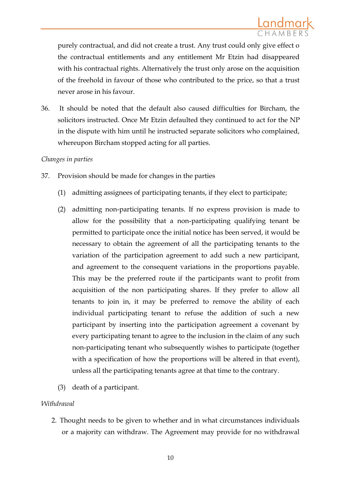purely contractual, and did not create a trust. Any trust could only give effect o the contractual entitlements and any entitlement Mr Etzin had disappeared with his contractual rights. Alternatively the trust only arose on the acquisition of the freehold in favour of those who contributed to the price, so that a trust never arose in his favour.

36. It should be noted that the default also caused difficulties for Bircham, the solicitors instructed. Once Mr Etzin defaulted they continued to act for the NP in the dispute with him until he instructed separate solicitors who complained, whereupon Bircham stopped acting for all parties.

### *Changes in parties*

- 37. Provision should be made for changes in the parties
	- (1) admitting assignees of participating tenants, if they elect to participate;
	- (2) admitting non-participating tenants. If no express provision is made to allow for the possibility that a non-participating qualifying tenant be permitted to participate once the initial notice has been served, it would be necessary to obtain the agreement of all the participating tenants to the variation of the participation agreement to add such a new participant, and agreement to the consequent variations in the proportions payable. This may be the preferred route if the participants want to profit from acquisition of the non participating shares. If they prefer to allow all tenants to join in, it may be preferred to remove the ability of each individual participating tenant to refuse the addition of such a new participant by inserting into the participation agreement a covenant by every participating tenant to agree to the inclusion in the claim of any such non-participating tenant who subsequently wishes to participate (together with a specification of how the proportions will be altered in that event), unless all the participating tenants agree at that time to the contrary.
	- (3) death of a participant.

### *Withdrawal*

2. Thought needs to be given to whether and in what circumstances individuals or a majority can withdraw. The Agreement may provide for no withdrawal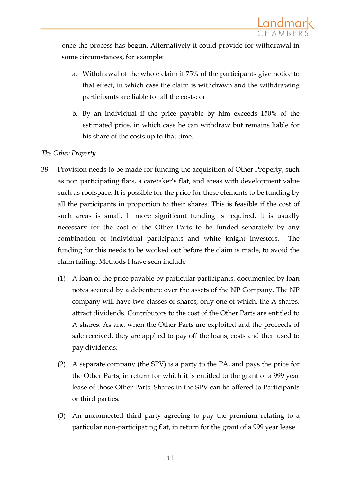once the process has begun. Alternatively it could provide for withdrawal in some circumstances, for example:

- a. Withdrawal of the whole claim if 75% of the participants give notice to that effect, in which case the claim is withdrawn and the withdrawing participants are liable for all the costs; or
- b. By an individual if the price payable by him exceeds 150% of the estimated price, in which case he can withdraw but remains liable for his share of the costs up to that time.

# *The Other Property*

- 38. Provision needs to be made for funding the acquisition of Other Property, such as non participating flats, a caretaker's flat, and areas with development value such as roofspace. It is possible for the price for these elements to be funding by all the participants in proportion to their shares. This is feasible if the cost of such areas is small. If more significant funding is required, it is usually necessary for the cost of the Other Parts to be funded separately by any combination of individual participants and white knight investors. The funding for this needs to be worked out before the claim is made, to avoid the claim failing. Methods I have seen include
	- (1) A loan of the price payable by particular participants, documented by loan notes secured by a debenture over the assets of the NP Company. The NP company will have two classes of shares, only one of which, the A shares, attract dividends. Contributors to the cost of the Other Parts are entitled to A shares. As and when the Other Parts are exploited and the proceeds of sale received, they are applied to pay off the loans, costs and then used to pay dividends;
	- (2) A separate company (the SPV) is a party to the PA, and pays the price for the Other Parts, in return for which it is entitled to the grant of a 999 year lease of those Other Parts. Shares in the SPV can be offered to Participants or third parties.
	- (3) An unconnected third party agreeing to pay the premium relating to a particular non-participating flat, in return for the grant of a 999 year lease.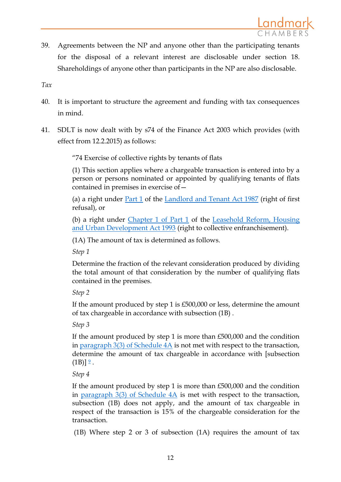

39. Agreements between the NP and anyone other than the participating tenants for the disposal of a relevant interest are disclosable under section 18. Shareholdings of anyone other than participants in the NP are also disclosable.

*Tax* 

- 40. It is important to structure the agreement and funding with tax consequences in mind.
- 41. SDLT is now dealt with by s74 of the Finance Act 2003 which provides (with effect from 12.2.2015) as follows:

"74 Exercise of collective rights by tenants of flats

(1) This section applies where a chargeable transaction is entered into by a person or persons nominated or appointed by qualifying tenants of flats contained in premises in exercise of—

(a) a right under [Part 1](http://login.westlaw.co.uk/maf/wluk/app/document?src=doc&linktype=ref&context=9&crumb-action=replace&docguid=I18F41360E44B11DA8D70A0E70A78ED65) of the [Landlord and Tenant Act 1987](http://login.westlaw.co.uk/maf/wluk/app/document?src=doc&linktype=ref&context=9&crumb-action=replace&docguid=I5FFF8320E42311DAA7CF8F68F6EE57AB) (right of first refusal), or

(b) a right under *Chapter 1 of Part 1* of the Leasehold Reform, Housing [and Urban Development Act 1993](http://login.westlaw.co.uk/maf/wluk/app/document?src=doc&linktype=ref&context=9&crumb-action=replace&docguid=I5FDA47E0E42311DAA7CF8F68F6EE57AB) (right to collective enfranchisement).

(1A) The amount of tax is determined as follows.

*Step 1* 

Determine the fraction of the relevant consideration produced by dividing the total amount of that consideration by the number of qualifying flats contained in the premises.

*Step 2* 

If the amount produced by step 1 is £500,000 or less, determine the amount of tax chargeable in accordance with subsection (1B) .

*Step 3* 

If the amount produced by step 1 is more than £500,000 and the condition in paragraph  $3(3)$  of Schedule  $4A$  is not met with respect to the transaction, determine the amount of tax chargeable in accordance with [subsection  $(1B)$ ]  $\frac{9}{2}$  $\frac{9}{2}$  $\frac{9}{2}$ .

*Step 4* 

If the amount produced by step 1 is more than £500,000 and the condition in paragraph  $3(3)$  of Schedule  $4A$  is met with respect to the transaction, subsection (1B) does not apply, and the amount of tax chargeable in respect of the transaction is 15% of the chargeable consideration for the transaction.

(1B) Where step 2 or 3 of subsection (1A) requires the amount of tax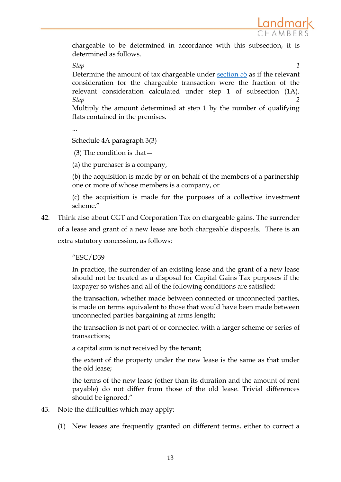Landmark

chargeable to be determined in accordance with this subsection, it is determined as follows.

#### *Step 1*

Determine the amount of tax chargeable under [section 55](http://login.westlaw.co.uk/maf/wluk/app/document?src=doc&linktype=ref&context=9&crumb-action=replace&docguid=I85608F40E45211DA8D70A0E70A78ED65) as if the relevant consideration for the chargeable transaction were the fraction of the relevant consideration calculated under step 1 of subsection (1A). *Step 2* 

Multiply the amount determined at step 1 by the number of qualifying flats contained in the premises.

...

Schedule 4A paragraph 3(3)

(3) The condition is that  $-$ 

(a) the purchaser is a company,

(b) the acquisition is made by or on behalf of the members of a partnership one or more of whose members is a company, or

(c) the acquisition is made for the purposes of a collective investment scheme."

42. Think also about CGT and Corporation Tax on chargeable gains. The surrender of a lease and grant of a new lease are both chargeable disposals. There is an extra statutory concession, as follows:

"ESC/D39

In practice, the surrender of an existing lease and the grant of a new lease should not be treated as a disposal for Capital Gains Tax purposes if the taxpayer so wishes and all of the following conditions are satisfied:

the transaction, whether made between connected or unconnected parties, is made on terms equivalent to those that would have been made between unconnected parties bargaining at arms length;

the transaction is not part of or connected with a larger scheme or series of transactions;

a capital sum is not received by the tenant;

the extent of the property under the new lease is the same as that under the old lease;

the terms of the new lease (other than its duration and the amount of rent payable) do not differ from those of the old lease. Trivial differences should be ignored."

- 43. Note the difficulties which may apply:
	- (1) New leases are frequently granted on different terms, either to correct a